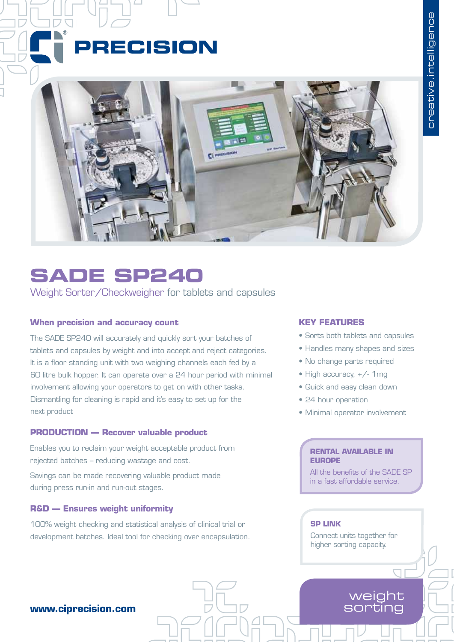# PRECISION



# **SADE SP240**

Weight Sorter/Checkweigher for tablets and capsules

### **When precision and accuracy count**

The SADE SP240 will accurately and quickly sort your batches of tablets and capsules by weight and into accept and reject categories. It is a floor standing unit with two weighing channels each fed by a 60 litre bulk hopper. It can operate over a 24 hour period with minimal involvement allowing your operators to get on with other tasks. Dismantling for cleaning is rapid and it's easy to set up for the next product

# **PRODUCTION — Recover valuable product**

Enables you to reclaim your weight acceptable product from rejected batches – reducing wastage and cost.

Savings can be made recovering valuable product made during press run-in and run-out stages.

### **R&D — Ensures weight uniformity**

100% weight checking and statistical analysis of clinical trial or development batches. Ideal tool for checking over encapsulation.

# **KEY FEATURES**

- Sorts both tablets and capsules
- Handles many shapes and sizes
- No change parts required
- High accuracy, +/- 1mg
- • Quick and easy clean down
- 24 hour operation
- • Minimal operator involvement

#### **RENTAL AVAILABLE IN EUROPE**

All the benefits of the SADE SP in a fast affordable service.

#### **SP LINK**

Connect units together for higher sorting capacity.

> weight sorting

# **www.ciprecision.com**